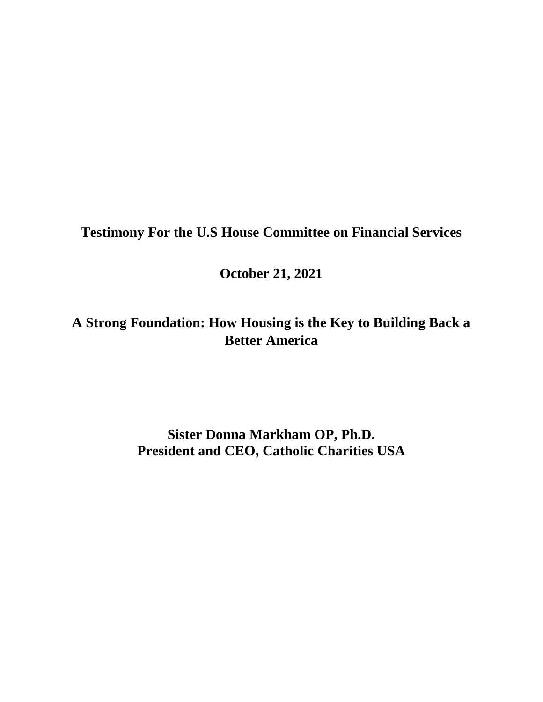**Testimony For the U.S House Committee on Financial Services**

**October 21, 2021**

**A Strong Foundation: How Housing is the Key to Building Back a Better America**

> **Sister Donna Markham OP, Ph.D. President and CEO, Catholic Charities USA**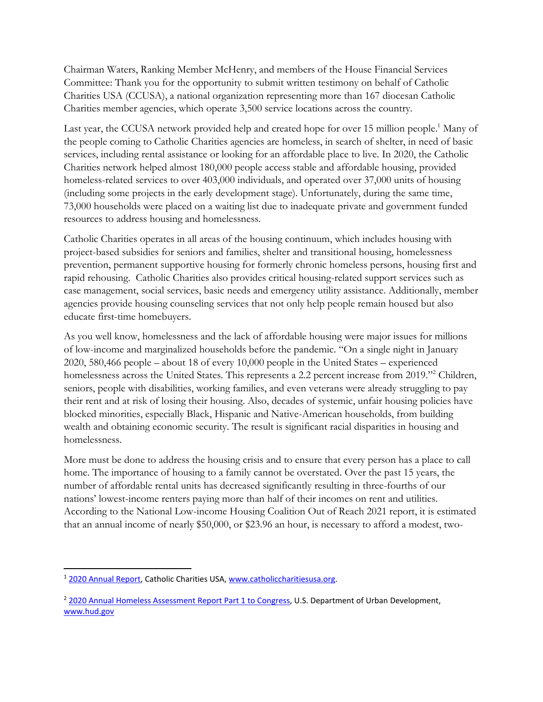Chairman Waters, Ranking Member McHenry, and members of the House Financial Services Committee: Thank you for the opportunity to submit written testimony on behalf of Catholic Charities USA (CCUSA), a national organization representing more than 167 diocesan Catholic Charities member agencies, which operate 3,500 service locations across the country.

Last year, the CCUSA network provided help and created hope for over 15 million people.<sup>1</sup> Many of the people coming to Catholic Charities agencies are homeless, in search of shelter, in need of basic services, including rental assistance or looking for an affordable place to live. In 2020, the Catholic Charities network helped almost 180,000 people access stable and affordable housing, provided homeless-related services to over 403,000 individuals, and operated over 37,000 units of housing (including some projects in the early development stage). Unfortunately, during the same time, 73,000 households were placed on a waiting list due to inadequate private and government funded resources to address housing and homelessness.

Catholic Charities operates in all areas of the housing continuum, which includes housing with project-based subsidies for seniors and families, shelter and transitional housing, homelessness prevention, permanent supportive housing for formerly chronic homeless persons, housing first and rapid rehousing. Catholic Charities also provides critical housing-related support services such as case management, social services, basic needs and emergency utility assistance. Additionally, member agencies provide housing counseling services that not only help people remain housed but also educate first-time homebuyers.

As you well know, homelessness and the lack of affordable housing were major issues for millions of low-income and marginalized households before the pandemic. "On a single night in January 2020, 580,466 people – about 18 of every 10,000 people in the United States – experienced homelessness across the United States. This represents a 2.2 percent increase from 2019."<sup>2</sup> Children, seniors, people with disabilities, working families, and even veterans were already struggling to pay their rent and at risk of losing their housing. Also, decades of systemic, unfair housing policies have blocked minorities, especially Black, Hispanic and Native-American households, from building wealth and obtaining economic security. The result is significant racial disparities in housing and homelessness.

More must be done to address the housing crisis and to ensure that every person has a place to call home. The importance of housing to a family cannot be overstated. Over the past 15 years, the number of affordable rental units has decreased significantly resulting in three-fourths of our nations' lowest-income renters paying more than half of their incomes on rent and utilities. According to the National Low-income Housing Coalition Out of Reach 2021 report, it is estimated that an annual income of nearly \$50,000, or \$23.96 an hour, is necessary to afford a modest, two-

l <sup>1</sup> 2020 Annual Report, Catholic Charities USA, [www.catholiccharitiesusa.org.](http://www.catholiccharitiesusa.org/)

<sup>&</sup>lt;sup>2</sup> [2020 Annual Homeless Assessment Report Part 1 to Congress,](https://www.huduser.gov/portal/datasets/ahar/2020-ahar-part-1-pit-estimates-of-homelessness-in-the-us.html) U.S. Department of Urban Development, [www.hud.gov](http://www.hud.gov/)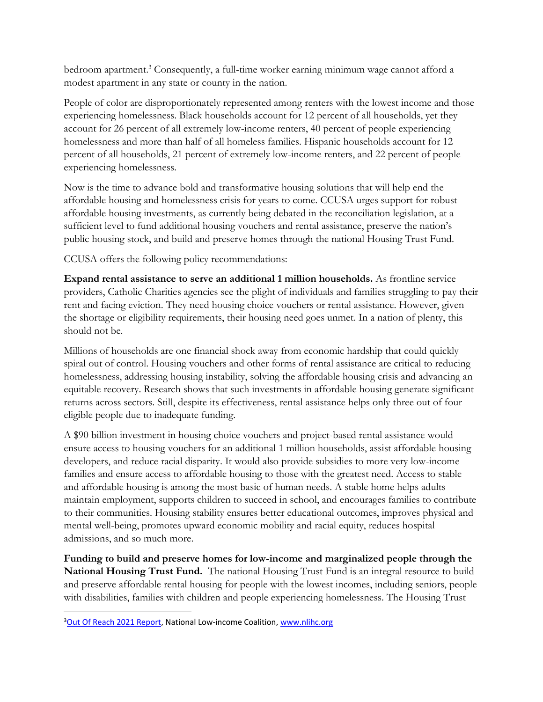bedroom apartment. <sup>3</sup> Consequently, a full-time worker earning minimum wage cannot afford a modest apartment in any state or county in the nation.

People of color are disproportionately represented among renters with the lowest income and those experiencing homelessness. Black households account for 12 percent of all households, yet they account for 26 percent of all extremely low-income renters, 40 percent of people experiencing homelessness and more than half of all homeless families. Hispanic households account for 12 percent of all households, 21 percent of extremely low-income renters, and 22 percent of people experiencing homelessness.

Now is the time to advance bold and transformative housing solutions that will help end the affordable housing and homelessness crisis for years to come. CCUSA urges support for robust affordable housing investments, as currently being debated in the reconciliation legislation, at a sufficient level to fund additional housing vouchers and rental assistance, preserve the nation's public housing stock, and build and preserve homes through the national Housing Trust Fund.

CCUSA offers the following policy recommendations:

**Expand rental assistance to serve an additional 1 million households.** As frontline service providers, Catholic Charities agencies see the plight of individuals and families struggling to pay their rent and facing eviction. They need housing choice vouchers or rental assistance. However, given the shortage or eligibility requirements, their housing need goes unmet. In a nation of plenty, this should not be.

Millions of households are one financial shock away from economic hardship that could quickly spiral out of control. Housing vouchers and other forms of rental assistance are critical to reducing homelessness, addressing housing instability, solving the affordable housing crisis and advancing an equitable recovery. Research shows that such investments in affordable housing generate significant returns across sectors. Still, despite its effectiveness, rental assistance helps only three out of four eligible people due to inadequate funding.

A \$90 billion investment in housing choice vouchers and project-based rental assistance would ensure access to housing vouchers for an additional 1 million households, assist affordable housing developers, and reduce racial disparity. It would also provide subsidies to more very low-income families and ensure access to affordable housing to those with the greatest need. Access to stable and affordable housing is among the most basic of human needs. A stable home helps adults maintain employment, supports children to succeed in school, and encourages families to contribute to their communities. Housing stability ensures better educational outcomes, improves physical and mental well-being, promotes upward economic mobility and racial equity, reduces hospital admissions, and so much more.

**Funding to build and preserve homes for low-income and marginalized people through the National Housing Trust Fund.** The national Housing Trust Fund is an integral resource to build and preserve affordable rental housing for people with the lowest incomes, including seniors, people with disabilities, families with children and people experiencing homelessness. The Housing Trust

 $\overline{\phantom{a}}$ 

<sup>&</sup>lt;sup>3</sup>[Out Of Reach 2021 Report,](https://nlihc.org/sites/default/files/oor/2021/Out-of-Reach_2021.pdf) National Low-income Coalition, [www.nlihc.org](http://www.nlihc.org/)